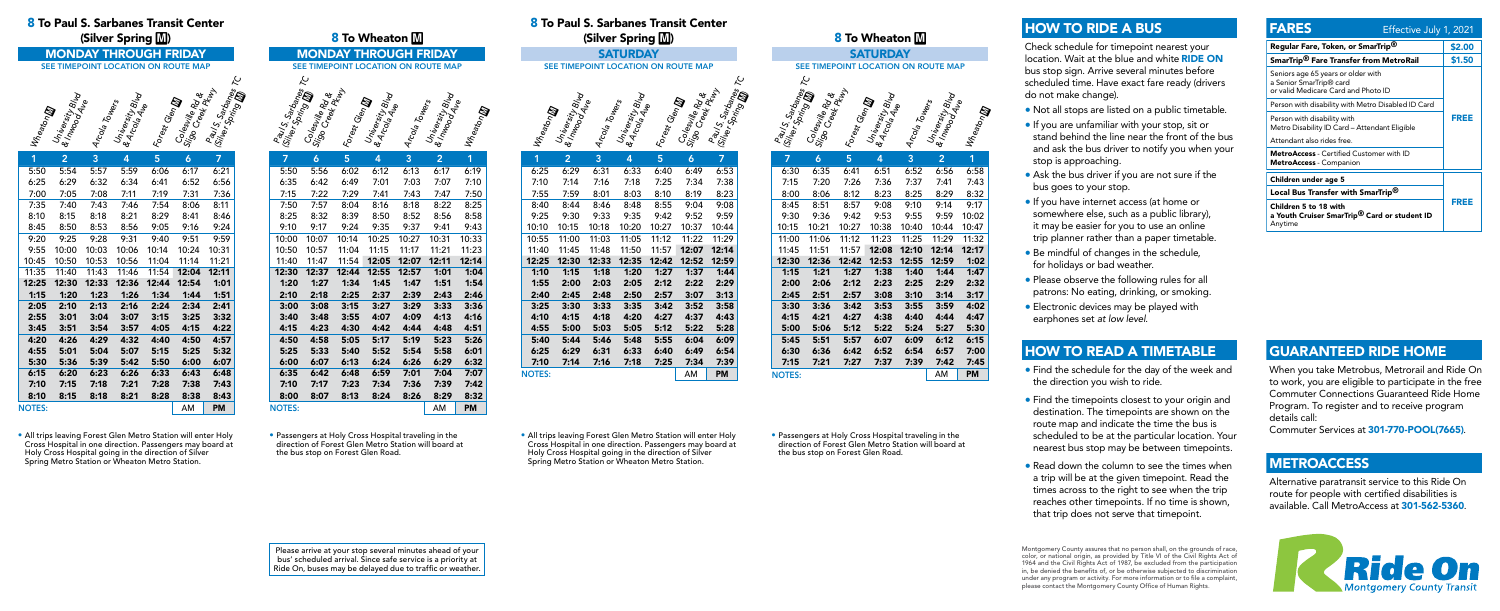## 8 To Paul S. Sarbanes Transit Center (Silver Spring **)**

### 8 To Paul S. Sarbanes Transit Center (Silver Spring M)

MONDAY THROUGH FRIDAY

**SATURDAY** SEE TIMEPOINT LOCATION ON ROUTE MAP

SEE TIMEPOINT LOCATION ON ROUTE MAP

# SEE TIMEPOINT LOCATION ON ROUTE MAP



1 2 3 4 5 6 7



• Passengers at Holy Cross Hospital traveling in the direction of Forest Glen Metro Station will board at the bus stop on Forest Glen Road.

| 1             | $\overline{2}$ | 3     | 4     | 5     | 6     | 7         |
|---------------|----------------|-------|-------|-------|-------|-----------|
| 5:50          | 5:54           | 5:57  | 5:59  | 6:06  | 6:17  | 6:21      |
| 6:25          | 6:29           | 6:32  | 6:34  | 6:41  | 6:52  | 6:56      |
| 7:00          | 7:05           | 7:08  | 7:11  | 7:19  | 7:31  | 7:36      |
| 7:35          | 7:40           | 7:43  | 7:46  | 7:54  | 8:06  | 8:11      |
| 8:10          | 8:15           | 8:18  | 8:21  | 8:29  | 8:41  | 8:46      |
| 8:45          | 8:50           | 8:53  | 8:56  | 9:05  | 9:16  | 9:24      |
| 9:20          | 9:25           | 9:28  | 9:31  | 9:40  | 9:51  | 9:59      |
| 9:55          | 10:00          | 10:03 | 10:06 | 10:14 | 10:24 | 10:31     |
| 10:45         | 10:50          | 10:53 | 10:56 | 11:04 | 11:14 | 11:21     |
| 11:35         | 11:40          | 11:43 | 11:46 | 11:54 | 12:04 | 12:11     |
| 12:25         | 12:30          | 12:33 | 12:36 | 12:44 | 12:54 | 1:01      |
| 1:15          | 1:20           | 1:23  | 1:26  | 1:34  | 1:44  | 1:51      |
| 2:05          | 2:10           | 2:13  | 2:16  | 2:24  | 2:34  | 2:41      |
| 2:55          | 3:01           | 3:04  | 3:07  | 3:15  | 3:25  | 3:32      |
| 3:45          | 3:51           | 3:54  | 3:57  | 4:05  | 4:15  | 4:22      |
| 4:20          | 4:26           | 4:29  | 4:32  | 4:40  | 4:50  | 4:57      |
| 4:55          | 5:01           | 5:04  | 5:07  | 5:15  | 5:25  | 5:32      |
| 5:30          | 5:36           | 5:39  | 5:42  | 5:50  | 6:00  | 6:07      |
| 6:15          | 6:20           | 6:23  | 6:26  | 6:33  | 6:43  | 6:48      |
| 7:10          | 7:15           | 7:18  | 7:21  | 7:28  | 7:38  | 7:43      |
| 8:10          | 8:15           | 8:18  | 8:21  | 8:28  | 8:38  | 8:43      |
| <b>NOTES:</b> |                |       |       |       | AM    | <b>PM</b> |

| 7             | 6     | 5.    | 4     | 3     | 2     | 1     |
|---------------|-------|-------|-------|-------|-------|-------|
| 6:30          | 6:35  | 6:41  | 6:51  | 6:52  | 6:56  | 6:58  |
| 7:15          | 7:20  | 7:26  | 7:36  | 7:37  | 7:41  | 7:43  |
| 8:00          | 8:06  | 8:12  | 8:23  | 8:25  | 8:29  | 8:32  |
| 8:45          | 8:51  | 8:57  | 9:08  | 9:10  | 9:14  | 9:17  |
| 9:30          | 9:36  | 9:42  | 9:53  | 9:55  | 9:59  | 10:02 |
| 10:15         | 10:21 | 10:27 | 10:38 | 10:40 | 10:44 | 10:47 |
| 11:00         | 11:06 | 11:12 | 11:23 | 11:25 | 11:29 | 11:32 |
| 11:45         | 11:51 | 11:57 | 12:08 | 12:10 | 12:14 | 12:17 |
| 12:30         | 12:36 | 12:42 | 12:53 | 12:55 | 12:59 | 1:02  |
| 1:15          | 1:21  | 1:27  | 1:38  | 1:40  | 1:44  | 1:47  |
| 2:00          | 2:06  | 2:12  | 2:23  | 2:25  | 2:29  | 2:32  |
| 2:45          | 2:51  | 2:57  | 3:08  | 3:10  | 3:14  | 3:17  |
| 3:30          | 3:36  | 3:42  | 3:53  | 3:55  | 3:59  | 4:02  |
| 4:15          | 4:21  | 4:27  | 4:38  | 4:40  | 4:44  | 4:47  |
| 5:00          | 5:06  | 5:12  | 5:22  | 5:24  | 5:27  | 5:30  |
| 5:45          | 5:51  | 5:57  | 6:07  | 6:09  | 6:12  | 6:15  |
| 6:30          | 6:36  | 6:42  | 6:52  | 6:54  | 6:57  | 7:00  |
| 7:15          | 7:21  | 7:27  | 7:37  | 7:39  | 7:42  | 7:45  |
| <b>NOTES:</b> |       |       |       |       | AM    | PM    |

• All trips leaving Forest Glen Metro Station will enter Holy Cross Hospital in one direction. Passengers may board at Holy Cross Hospital going in the direction of Silver Spring Metro Station or Wheaton Metro Station.

| 8 To Wheaton M                      |                                                                                                    |              |                 |              |                                                      |              |  |  |
|-------------------------------------|----------------------------------------------------------------------------------------------------|--------------|-----------------|--------------|------------------------------------------------------|--------------|--|--|
| <b>MONDAY THROUGH FRIDAY</b>        |                                                                                                    |              |                 |              |                                                      |              |  |  |
| SEE TIMEPOINT LOCATION ON ROUTE MAP |                                                                                                    |              |                 |              |                                                      |              |  |  |
|                                     | بح                                                                                                 |              |                 |              |                                                      |              |  |  |
|                                     |                                                                                                    |              |                 |              |                                                      |              |  |  |
|                                     |                                                                                                    |              |                 |              |                                                      |              |  |  |
|                                     |                                                                                                    |              |                 |              |                                                      |              |  |  |
|                                     |                                                                                                    |              |                 |              |                                                      |              |  |  |
|                                     | Raul S. Sarbanes<br>College Porting <b>De</b><br>Signeswine Royald<br>Signeswine Ru <sub>lly</sub> |              | Forest Glentary |              | Arcola Towers<br>University Blvd<br>& Inveoorty Blvd | 4 Wheaton M  |  |  |
| $\overline{7}$                      | $\ddot{\mathbf{6}}$                                                                                | 5            | $\overline{4}$  | 3            | $\overline{2}$                                       | 1            |  |  |
| 5:50                                | 5:56                                                                                               | 6:02         | 6:12            | 6:13         | 6:17                                                 | 6:19         |  |  |
| 6:35                                | 6:42                                                                                               | 6:49         | 7:01            | 7:03         | 7:07                                                 | 7:10         |  |  |
| 7:15                                | 7:22                                                                                               | 7:29         | 7:41            | 7:43         | 7:47                                                 | 7:50         |  |  |
| 7:50                                | 7:57                                                                                               | 8:04         | 8:16            | 8:18         | 8:22                                                 | 8:25         |  |  |
| 8:25                                | 8:32                                                                                               | 8:39         | 8:50            | 8:52         | 8:56                                                 | 8:58         |  |  |
| 9:10                                | 9:17                                                                                               | 9:24         | 9:35            | 9:37         | 9:41                                                 | 9:43         |  |  |
| 10:00                               | 10:07                                                                                              | 10:14        | 10:25           | 10:27        | 10:31                                                | 10:33        |  |  |
| 10:50                               | 10:57                                                                                              | 11:04        | 11:15           | 11:17        | 11:21                                                | 11:23        |  |  |
| 11:40                               | 11:47                                                                                              | 11:54        | 12:05           | 12:07        | 12:11                                                | 12:14        |  |  |
| 12:30                               | 12:37                                                                                              | 12:44        | 12:55           | 12:57        | 1:01                                                 | 1:04         |  |  |
| 1:20                                | 1:27                                                                                               | 1:34         | 1:45            | 1:47         | 1:51                                                 | 1:54         |  |  |
| 2:10                                | 2:18                                                                                               | 2:25         | 2:37            | 2:39         | 2:43                                                 | 2:46         |  |  |
| 3:00                                | 3:08                                                                                               | 3:15         | 3:27            | 3:29         | 3:33                                                 | 3:36         |  |  |
| 3:40                                | 3:48                                                                                               | 3:55         | 4:07            | 4:09         | 4:13                                                 | 4:16         |  |  |
| 4:15                                | 4:23                                                                                               | 4:30         | 4:42            | 4:44         | 4:48                                                 | 4:51         |  |  |
| 4:50                                | 4:58                                                                                               | 5:05         | 5:17            | 5:19         | 5:23                                                 | 5:26         |  |  |
| 5:25                                | 5:33                                                                                               | 5:40         | 5:52            | 5:54         | 5:58                                                 | 6:01         |  |  |
| 6:00<br>6:35                        | 6:07<br>6:42                                                                                       | 6:13<br>6:48 | 6:24<br>6:59    | 6:26<br>7:01 | 6:29<br>7:04                                         | 6:32<br>7:07 |  |  |
| 7:10                                | 7:17                                                                                               | 7:23         | 7:34            | 7:36         | 7:39                                                 | 7:42         |  |  |
| 8:00                                | 8:07                                                                                               | 8:13         | 8:24            | 8:26         | 8:29                                                 | 8:32         |  |  |
| <b>NOTES:</b>                       |                                                                                                    |              |                 |              | AM                                                   | <b>PM</b>    |  |  |

6:25 6:29 6:31 6:33 6:40 6:49 6:53 7:10 7:14 7:16 7:18 7:25 7:34 7:38 7:55 7:59 8:01 8:03 8:10 8:19 8:23 8:40 8:44 8:46 8:48 8:55 9:04 9:08 9:25 9:30 9:33 9:35 9:42 9:52 9:59 10:10 10:15 10:18 10:20 10:27 10:37 10:44 10:55 11:00 11:03 11:05 11:12 11:22 11:29 11:40 11:45 11:48 11:50 11:57 12:07 12:14 12:25 12:30 12:33 12:35 12:42 12:52 12:59 1:10 1:15 1:18 1:20 1:27 1:37 1:44 1:55 2:00 2:03 2:05 2:12 2:22 2:29 2:40 2:45 2:48 2:50 2:57 3:07 3:13 3:25 3:30 3:33 3:35 3:42 3:52 3:58 4:10 4:15 4:18 4:20 4:27 4:37 4:43 4:55 5:00 5:03 5:05 5:12 5:22 5:28 5:40 5:44 5:46 5:48 5:55 6:04 6:09 6:25 6:29 6:31 6:33 6:40 6:49 6:54 7:10 7:14 7:16 7:18 7:25 7:34 7:39

University Blvd & Ar<sup>corsit</sup>y B<br>B Arcola Ave

Forest Glen**m** 

Colesville Rd & Sir<sup>ies Ville Rd</sup><br>Sigo Creek Rd &<br>Creek Pkwy

Paul S. Sarbanes TC<br><sup>River</sup> Sarbanes TC<br><sup>Mer</sup> Spring TC (Silver S. Sartoanes

Arcola Towers

**Wheaton** 

 $\textcolor{red}{\blacktriangleright}$ University Blvd & inversity Blue<br>Invoority Blue

# 8 To Wheaton M **SATURDAY**

Montgomery County assures that no person shall, on the grounds of race, color, or national origin, as provided by Title VI of the Civil Rights Act of 1964 and the Civil Rights Act of 1987, be excluded from the participation in, be denied the benefits of, or be otherwise subjected to discrimination under any program or activity. For more information or to file a complaint, please contact the Montgomery County Office of Human Rights.

• Passengers at Holy Cross Hospital traveling in the direction of Forest Glen Metro Station will board at the bus stop on Forest Glen Road.

Please arrive at your stop several minutes ahead of your bus' scheduled arrival. Since safe service is a priority at Ride On, buses may be delayed due to traffic or weather.

• All trips leaving Forest Glen Metro Station will enter Holy Cross Hospital in one direction. Passengers may board at Holy Cross Hospital going in the direction of Silver Spring Metro Station or Wheaton Metro Station.

NOTES: NOTES: NOTES: NOTES: NOTES: NOTES: NOTES: NOTES: NOTES: NOTES: NOTES: NOTES: NOTES: NOTES: NOTES: NOTES: NOTES: NOTES: NOTES: NOTES: NOTES: NOTES: NOTES: NOTES: NOTES: NOTES: NOTES: NOTES: NOTES: NOTES: NOTES: NOTES

# HOW TO RIDE A BUS

Check schedule for timepoint nearest your location. Wait at the blue and white RIDE ON bus stop sign. Arrive several minutes before scheduled time. Have exact fare ready (drivers do not make change).

- Not all stops are listed on a public timetable.
- If you are unfamiliar with your stop, sit or stand behind the line near the front of the bus and ask the bus driver to notify you when your stop is approaching.
- Ask the bus driver if you are not sure if the bus goes to your stop.
- If you have internet access (at home or somewhere else, such as a public library), it may be easier for you to use an online trip planner rather than a paper timetable.
- Be mindful of changes in the schedule, for holidays or bad weather.
- Please observe the following rules for all patrons: No eating, drinking, or smoking.
- Electronic devices may be played with earphones set *at low level*.

# GUARANTEED RIDE HOME

When you take Metrobus, Metrorail and Ride On to work, you are eligible to participate in the free Commuter Connections Guaranteed Ride Home Program. To register and to receive program details call:

Commuter Services at 301-770-POOL(7665).

# **METROACCESS**

Alternative paratransit service to this Ride On route for people with certified disabilities is available. Call MetroAccess at 301-562-5360.



# HOW TO READ A TIMETABLE

- Find the schedule for the day of the week and the direction you wish to ride.
- Find the timepoints closest to your origin and destination. The timepoints are shown on the route map and indicate the time the bus is scheduled to be at the particular location. Your nearest bus stop may be between timepoints.
- Read down the column to see the times when a trip will be at the given timepoint. Read the times across to the right to see when the trip reaches other timepoints. If no time is shown, that trip does not serve that timepoint.

| <b>FARES</b>                                                                                                     | Effective July 1, 2021 |        |
|------------------------------------------------------------------------------------------------------------------|------------------------|--------|
| Regular Fare, Token, or SmarTrip®                                                                                |                        | \$2.00 |
| SmarTrip <sup>®</sup> Fare Transfer from MetroRail                                                               |                        | \$1.50 |
| Seniors age 65 years or older with<br>a Senior SmarTrip <sup>®</sup> card<br>or valid Medicare Card and Photo ID |                        |        |
| Person with disability with Metro Disabled ID Card                                                               |                        |        |
| Person with disability with<br>Metro Disability ID Card - Attendant Eligible                                     |                        | FREE   |
| Attendant also rides free.                                                                                       |                        |        |
| <b>MetroAccess</b> - Certified Customer with ID<br><b>MetroAccess</b> - Companion                                |                        |        |
| Children under age 5                                                                                             |                        |        |
| Local Bus Transfer with SmarTrip <sup>®</sup>                                                                    |                        |        |
| Children 5 to 18 with<br>a Youth Cruiser SmarTrip <sup>®</sup> Card or student ID<br>Anytime                     |                        | FREE   |